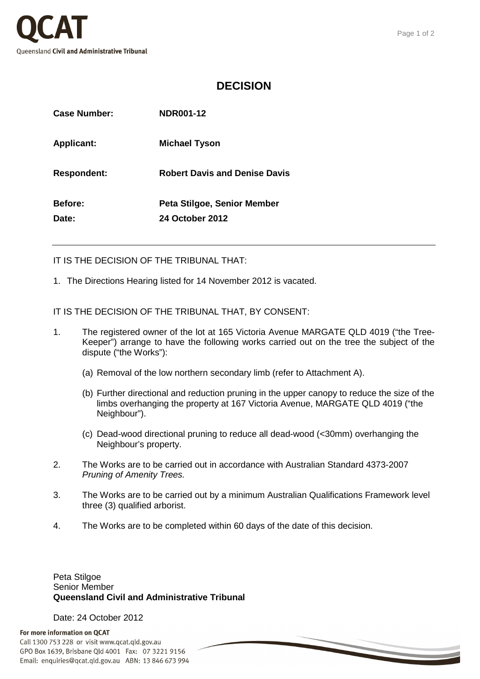

## **DECISION**

| Case Number:       | <b>NDR001-12</b>                     |
|--------------------|--------------------------------------|
| <b>Applicant:</b>  | Michael Tyson                        |
| <b>Respondent:</b> | <b>Robert Davis and Denise Davis</b> |
| <b>Before:</b>     | Peta Stilgoe, Senior Member          |
| Date:              | <b>24 October 2012</b>               |

IT IS THE DECISION OF THE TRIBUNAL THAT:

1. The Directions Hearing listed for 14 November 2012 is vacated.

IT IS THE DECISION OF THE TRIBUNAL THAT, BY CONSENT:

- 1. The registered owner of the lot at 165 Victoria Avenue MARGATE QLD 4019 ("the Tree-Keeper") arrange to have the following works carried out on the tree the subject of the dispute ("the Works"):
	- (a) Removal of the low northern secondary limb (refer to Attachment A).
	- (b) Further directional and reduction pruning in the upper canopy to reduce the size of the limbs overhanging the property at 167 Victoria Avenue, MARGATE QLD 4019 ("the Neighbour").
	- (c) Dead-wood directional pruning to reduce all dead-wood (<30mm) overhanging the Neighbour's property.
- 2. The Works are to be carried out in accordance with Australian Standard 4373-2007 Pruning of Amenity Trees.
- 3. The Works are to be carried out by a minimum Australian Qualifications Framework level three (3) qualified arborist.
- 4. The Works are to be completed within 60 days of the date of this decision.

## Peta Stilgoe Senior Member **Queensland Civil and Administrative Tribunal**

Date: 24 October 2012

## For more information on QCAT